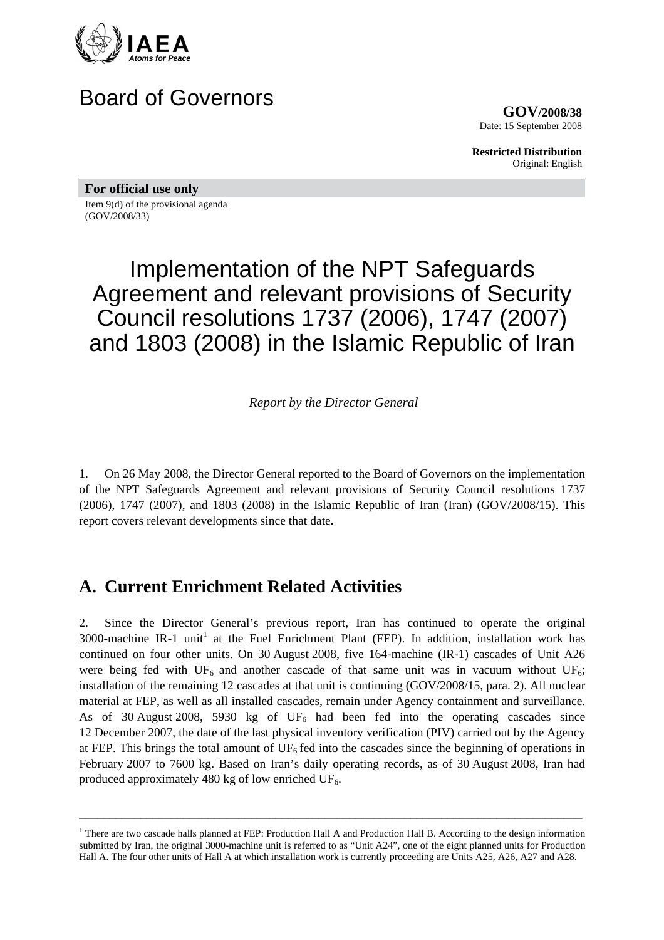

## Board of Governors

**GOV/2008/38** Date: 15 September 2008

**Restricted Distribution** Original: English

**For official use only** 

Item 9(d) of the provisional agenda (GOV/2008/33)

# Implementation of the NPT Safeguards Agreement and relevant provisions of Security Council resolutions 1737 (2006), 1747 (2007) and 1803 (2008) in the Islamic Republic of Iran

*Report by the Director General* 

1. On 26 May 2008, the Director General reported to the Board of Governors on the implementation of the NPT Safeguards Agreement and relevant provisions of Security Council resolutions 1737 (2006), 1747 (2007), and 1803 (2008) in the Islamic Republic of Iran (Iran) (GOV/2008/15). This report covers relevant developments since that date**.**

## **A. Current Enrichment Related Activities**

2. Since the Director General's previous report, Iran has continued to operate the original 3000-machine IR-1 unit<sup>1</sup> at the Fuel Enrichment Plant (FEP). In addition, installation work has continued on four other units. On 30 August 2008, five 164-machine (IR-1) cascades of Unit A26 were being fed with  $UF_6$  and another cascade of that same unit was in vacuum without  $UF_6$ ; installation of the remaining 12 cascades at that unit is continuing (GOV/2008/15, para. 2). All nuclear material at FEP, as well as all installed cascades, remain under Agency containment and surveillance. As of 30 August 2008, 5930 kg of  $UF_6$  had been fed into the operating cascades since 12 December 2007, the date of the last physical inventory verification (PIV) carried out by the Agency at FEP. This brings the total amount of  $UF<sub>6</sub>$  fed into the cascades since the beginning of operations in February 2007 to 7600 kg. Based on Iran's daily operating records, as of 30 August 2008, Iran had produced approximately 480 kg of low enriched  $UF_6$ .

<sup>&</sup>lt;sup>1</sup> There are two cascade halls planned at FEP: Production Hall A and Production Hall B. According to the design information submitted by Iran, the original 3000-machine unit is referred to as "Unit A24", one of the eight planned units for Production Hall A. The four other units of Hall A at which installation work is currently proceeding are Units A25, A26, A27 and A28.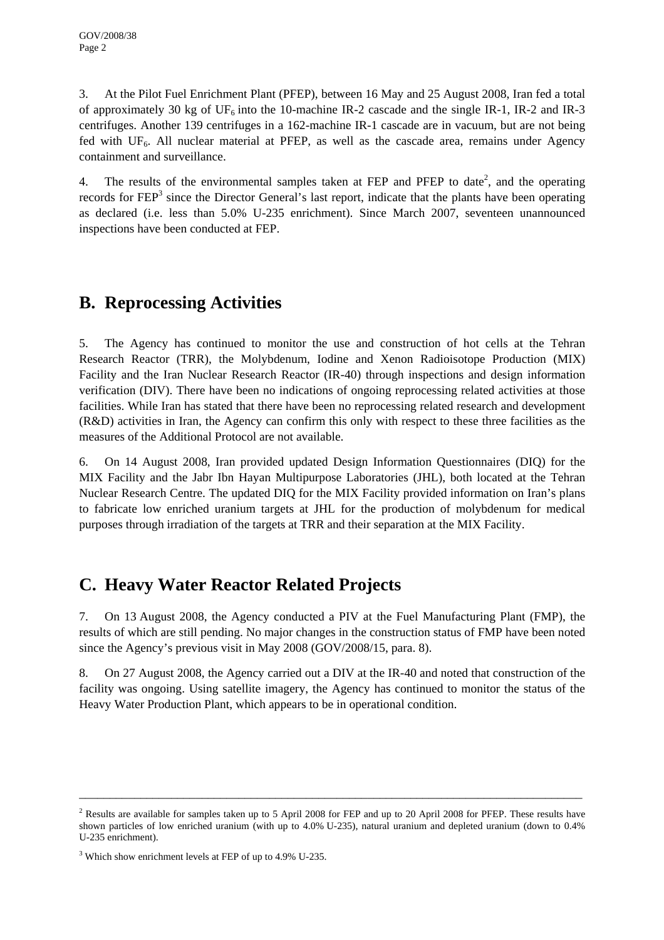3. At the Pilot Fuel Enrichment Plant (PFEP), between 16 May and 25 August 2008, Iran fed a total of approximately 30 kg of  $UF_6$  into the 10-machine IR-2 cascade and the single IR-1, IR-2 and IR-3 centrifuges. Another 139 centrifuges in a 162-machine IR-1 cascade are in vacuum, but are not being fed with  $UF_6$ . All nuclear material at PFEP, as well as the cascade area, remains under Agency containment and surveillance.

4. The results of the environmental samples taken at FEP and PFEP to date<sup>2</sup>, and the operating records for FEP<sup>3</sup> since the Director General's last report, indicate that the plants have been operating as declared (i.e. less than 5.0% U-235 enrichment). Since March 2007, seventeen unannounced inspections have been conducted at FEP.

#### **B. Reprocessing Activities**

5. The Agency has continued to monitor the use and construction of hot cells at the Tehran Research Reactor (TRR), the Molybdenum, Iodine and Xenon Radioisotope Production (MIX) Facility and the Iran Nuclear Research Reactor (IR-40) through inspections and design information verification (DIV). There have been no indications of ongoing reprocessing related activities at those facilities. While Iran has stated that there have been no reprocessing related research and development (R&D) activities in Iran, the Agency can confirm this only with respect to these three facilities as the measures of the Additional Protocol are not available.

6. On 14 August 2008, Iran provided updated Design Information Questionnaires (DIQ) for the MIX Facility and the Jabr Ibn Hayan Multipurpose Laboratories (JHL), both located at the Tehran Nuclear Research Centre. The updated DIQ for the MIX Facility provided information on Iran's plans to fabricate low enriched uranium targets at JHL for the production of molybdenum for medical purposes through irradiation of the targets at TRR and their separation at the MIX Facility.

#### **C. Heavy Water Reactor Related Projects**

7. On 13 August 2008, the Agency conducted a PIV at the Fuel Manufacturing Plant (FMP), the results of which are still pending. No major changes in the construction status of FMP have been noted since the Agency's previous visit in May 2008 (GOV/2008/15, para. 8).

8. On 27 August 2008, the Agency carried out a DIV at the IR-40 and noted that construction of the facility was ongoing. Using satellite imagery, the Agency has continued to monitor the status of the Heavy Water Production Plant, which appears to be in operational condition.

 $2$  Results are available for samples taken up to 5 April 2008 for FEP and up to 20 April 2008 for PFEP. These results have shown particles of low enriched uranium (with up to 4.0% U-235), natural uranium and depleted uranium (down to 0.4% U-235 enrichment).

<sup>&</sup>lt;sup>3</sup> Which show enrichment levels at FEP of up to 4.9% U-235.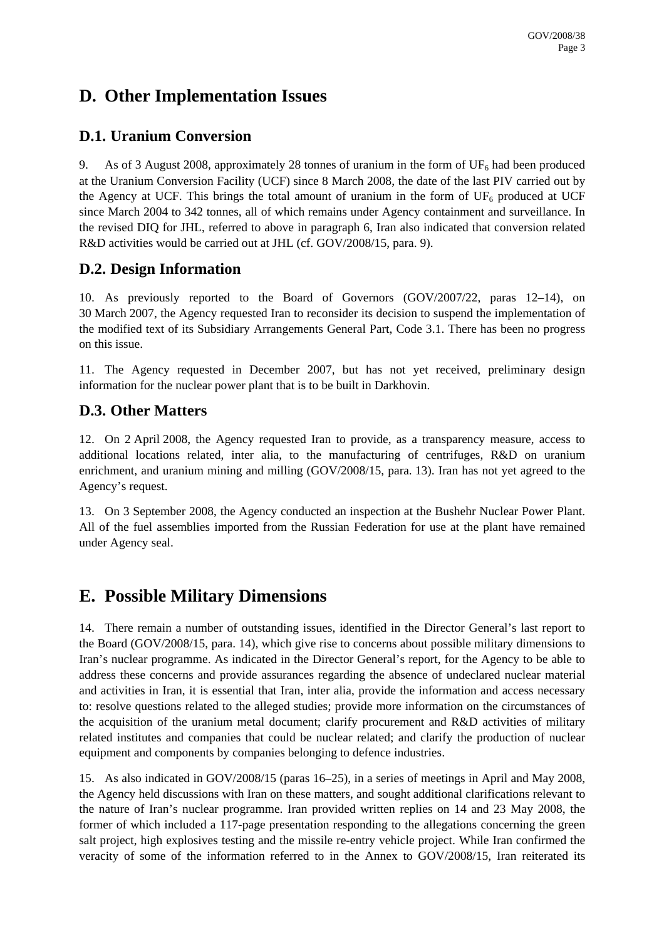## **D. Other Implementation Issues**

#### **D.1. Uranium Conversion**

9. As of 3 August 2008, approximately 28 tonnes of uranium in the form of  $UF_6$  had been produced at the Uranium Conversion Facility (UCF) since 8 March 2008, the date of the last PIV carried out by the Agency at UCF. This brings the total amount of uranium in the form of  $UF_6$  produced at UCF since March 2004 to 342 tonnes, all of which remains under Agency containment and surveillance. In the revised DIQ for JHL, referred to above in paragraph 6, Iran also indicated that conversion related R&D activities would be carried out at JHL (cf. GOV/2008/15, para. 9).

#### **D.2. Design Information**

10. As previously reported to the Board of Governors (GOV/2007/22, paras 12–14), on 30 March 2007, the Agency requested Iran to reconsider its decision to suspend the implementation of the modified text of its Subsidiary Arrangements General Part, Code 3.1. There has been no progress on this issue.

11. The Agency requested in December 2007, but has not yet received, preliminary design information for the nuclear power plant that is to be built in Darkhovin.

#### **D.3. Other Matters**

12. On 2 April 2008, the Agency requested Iran to provide, as a transparency measure, access to additional locations related, inter alia, to the manufacturing of centrifuges, R&D on uranium enrichment, and uranium mining and milling (GOV/2008/15, para. 13). Iran has not yet agreed to the Agency's request.

13. On 3 September 2008, the Agency conducted an inspection at the Bushehr Nuclear Power Plant. All of the fuel assemblies imported from the Russian Federation for use at the plant have remained under Agency seal.

## **E. Possible Military Dimensions**

14. There remain a number of outstanding issues, identified in the Director General's last report to the Board (GOV/2008/15, para. 14), which give rise to concerns about possible military dimensions to Iran's nuclear programme. As indicated in the Director General's report, for the Agency to be able to address these concerns and provide assurances regarding the absence of undeclared nuclear material and activities in Iran, it is essential that Iran, inter alia, provide the information and access necessary to: resolve questions related to the alleged studies; provide more information on the circumstances of the acquisition of the uranium metal document; clarify procurement and R&D activities of military related institutes and companies that could be nuclear related; and clarify the production of nuclear equipment and components by companies belonging to defence industries.

15. As also indicated in GOV/2008/15 (paras 16–25), in a series of meetings in April and May 2008, the Agency held discussions with Iran on these matters, and sought additional clarifications relevant to the nature of Iran's nuclear programme. Iran provided written replies on 14 and 23 May 2008, the former of which included a 117-page presentation responding to the allegations concerning the green salt project, high explosives testing and the missile re-entry vehicle project. While Iran confirmed the veracity of some of the information referred to in the Annex to GOV/2008/15, Iran reiterated its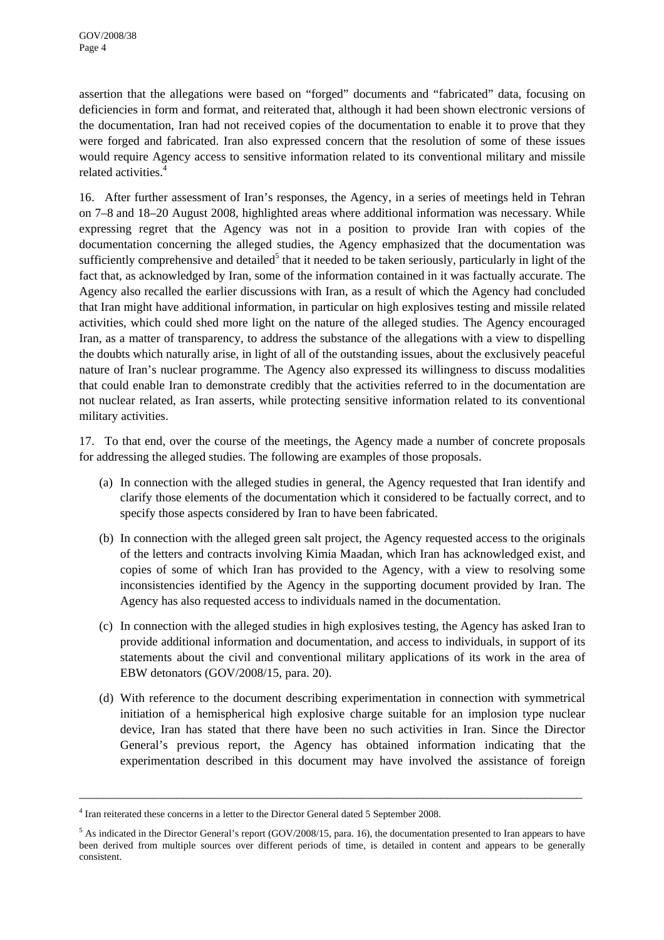assertion that the allegations were based on "forged" documents and "fabricated" data, focusing on deficiencies in form and format, and reiterated that, although it had been shown electronic versions of the documentation, Iran had not received copies of the documentation to enable it to prove that they were forged and fabricated. Iran also expressed concern that the resolution of some of these issues would require Agency access to sensitive information related to its conventional military and missile related activities.4

16. After further assessment of Iran's responses, the Agency, in a series of meetings held in Tehran on 7–8 and 18–20 August 2008, highlighted areas where additional information was necessary. While expressing regret that the Agency was not in a position to provide Iran with copies of the documentation concerning the alleged studies, the Agency emphasized that the documentation was sufficiently comprehensive and detailed<sup>5</sup> that it needed to be taken seriously, particularly in light of the fact that, as acknowledged by Iran, some of the information contained in it was factually accurate. The Agency also recalled the earlier discussions with Iran, as a result of which the Agency had concluded that Iran might have additional information, in particular on high explosives testing and missile related activities, which could shed more light on the nature of the alleged studies. The Agency encouraged Iran, as a matter of transparency, to address the substance of the allegations with a view to dispelling the doubts which naturally arise, in light of all of the outstanding issues, about the exclusively peaceful nature of Iran's nuclear programme. The Agency also expressed its willingness to discuss modalities that could enable Iran to demonstrate credibly that the activities referred to in the documentation are not nuclear related, as Iran asserts, while protecting sensitive information related to its conventional military activities.

17. To that end, over the course of the meetings, the Agency made a number of concrete proposals for addressing the alleged studies. The following are examples of those proposals.

- (a) In connection with the alleged studies in general, the Agency requested that Iran identify and clarify those elements of the documentation which it considered to be factually correct, and to specify those aspects considered by Iran to have been fabricated.
- (b) In connection with the alleged green salt project, the Agency requested access to the originals of the letters and contracts involving Kimia Maadan, which Iran has acknowledged exist, and copies of some of which Iran has provided to the Agency, with a view to resolving some inconsistencies identified by the Agency in the supporting document provided by Iran. The Agency has also requested access to individuals named in the documentation.
- (c) In connection with the alleged studies in high explosives testing, the Agency has asked Iran to provide additional information and documentation, and access to individuals, in support of its statements about the civil and conventional military applications of its work in the area of EBW detonators (GOV/2008/15, para. 20).
- (d) With reference to the document describing experimentation in connection with symmetrical initiation of a hemispherical high explosive charge suitable for an implosion type nuclear device, Iran has stated that there have been no such activities in Iran. Since the Director General's previous report, the Agency has obtained information indicating that the experimentation described in this document may have involved the assistance of foreign

<sup>&</sup>lt;sup>4</sup> Iran reiterated these concerns in a letter to the Director General dated 5 September 2008.

 $<sup>5</sup>$  As indicated in the Director General's report (GOV/2008/15, para. 16), the documentation presented to Iran appears to have</sup> been derived from multiple sources over different periods of time, is detailed in content and appears to be generally consistent.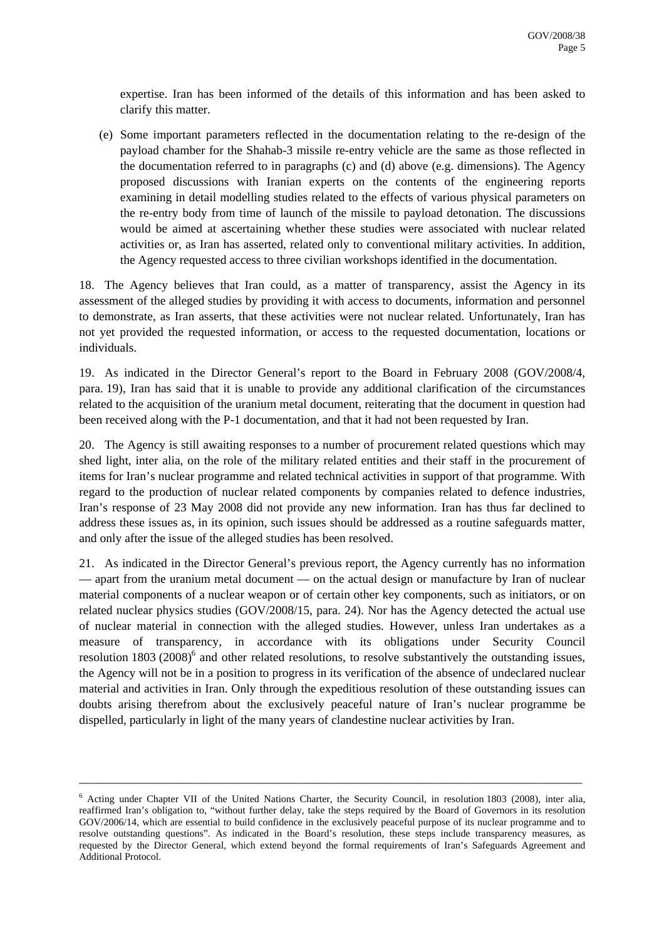expertise. Iran has been informed of the details of this information and has been asked to clarify this matter.

(e) Some important parameters reflected in the documentation relating to the re-design of the payload chamber for the Shahab-3 missile re-entry vehicle are the same as those reflected in the documentation referred to in paragraphs (c) and (d) above (e.g. dimensions). The Agency proposed discussions with Iranian experts on the contents of the engineering reports examining in detail modelling studies related to the effects of various physical parameters on the re-entry body from time of launch of the missile to payload detonation. The discussions would be aimed at ascertaining whether these studies were associated with nuclear related activities or, as Iran has asserted, related only to conventional military activities. In addition, the Agency requested access to three civilian workshops identified in the documentation.

18. The Agency believes that Iran could, as a matter of transparency, assist the Agency in its assessment of the alleged studies by providing it with access to documents, information and personnel to demonstrate, as Iran asserts, that these activities were not nuclear related. Unfortunately, Iran has not yet provided the requested information, or access to the requested documentation, locations or individuals.

19. As indicated in the Director General's report to the Board in February 2008 (GOV/2008/4, para. 19), Iran has said that it is unable to provide any additional clarification of the circumstances related to the acquisition of the uranium metal document, reiterating that the document in question had been received along with the P-1 documentation, and that it had not been requested by Iran.

20. The Agency is still awaiting responses to a number of procurement related questions which may shed light, inter alia, on the role of the military related entities and their staff in the procurement of items for Iran's nuclear programme and related technical activities in support of that programme. With regard to the production of nuclear related components by companies related to defence industries, Iran's response of 23 May 2008 did not provide any new information. Iran has thus far declined to address these issues as, in its opinion, such issues should be addressed as a routine safeguards matter, and only after the issue of the alleged studies has been resolved.

21. As indicated in the Director General's previous report, the Agency currently has no information — apart from the uranium metal document — on the actual design or manufacture by Iran of nuclear material components of a nuclear weapon or of certain other key components, such as initiators, or on related nuclear physics studies (GOV/2008/15, para. 24). Nor has the Agency detected the actual use of nuclear material in connection with the alleged studies. However, unless Iran undertakes as a measure of transparency, in accordance with its obligations under Security Council resolution 1803 (2008)<sup>6</sup> and other related resolutions, to resolve substantively the outstanding issues, the Agency will not be in a position to progress in its verification of the absence of undeclared nuclear material and activities in Iran. Only through the expeditious resolution of these outstanding issues can doubts arising therefrom about the exclusively peaceful nature of Iran's nuclear programme be dispelled, particularly in light of the many years of clandestine nuclear activities by Iran.

<sup>6</sup> Acting under Chapter VII of the United Nations Charter, the Security Council, in resolution 1803 (2008), inter alia, reaffirmed Iran's obligation to, "without further delay, take the steps required by the Board of Governors in its resolution GOV/2006/14, which are essential to build confidence in the exclusively peaceful purpose of its nuclear programme and to resolve outstanding questions". As indicated in the Board's resolution, these steps include transparency measures, as requested by the Director General, which extend beyond the formal requirements of Iran's Safeguards Agreement and Additional Protocol.